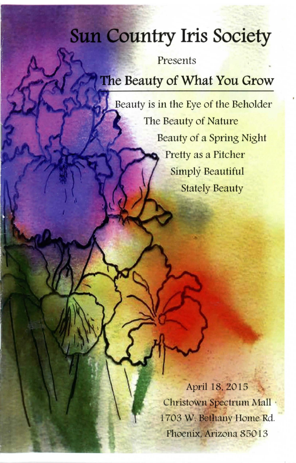# **Sun Country Iris Society**

Presents

# **The Beauty of What You Grow**

Beauty is in the Eye of the Beholder The Beauty of Nature Beauty of a Spring Night Pretty as a Pitcher Simply Beautiful Stately Beauty

> April 18.2015 Christown Spectrum Mall . 1703 W. Bethany Home Rd. Phoenix, Arizona 85013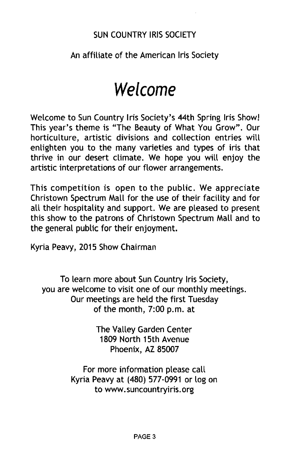# SUN COUNTRY IRIS SOCIETY

# An affiliate of the American Iris Society

# **Welcome**

Welcome to Sun Country Iris Society's 44th Spring Iris Showl This year's theme is "The Beauty of What You Grow". Our horticulture, artistic divisions and collection entries will enlighten you to the many varieties and types of iris that thrive in our desert climate. We hope you will enjoy the artistic interpretations of our flower arrangements.

This competition is open to the public. We appreciate Christown Spectrum Mall for the use of their facility and for all their hospitality and support. We are pleased to present this show to the patrons of Christown Spectrum Mall and to the general public for their enjoyment.

Kyria Peavy, 2015 Show Chairman

To learn more about Sun Country Iris Society, you are welcome to visit one of our monthly meetings. Our meetings are held the first Tuesday of the month, 7:00 p.m. at

> The Valley Garden Center 1809 North 15th Avenue Phoenix, AZ 85007

For more information please call Kyria Peavy at (480) 577-0991 or log on to www.suncountryiris.org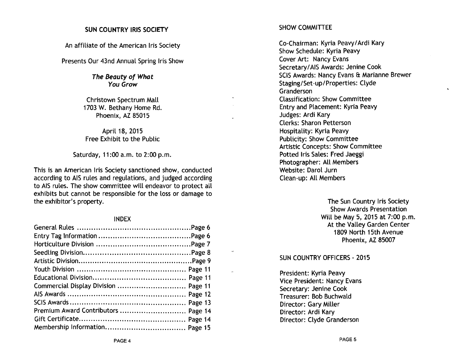#### SUN COUNTRY IRIS SOCIETY

An affiliate of the American Iris Society

Presents Our 43nd Annual Spring Iris Show

The Beauty of What You Grow

Christown Spectrum Mall 1703 W. Bethany Home Rd. Phoenix, AZ 85015

April 18, 2015 Free Exhibit to the Public

Saturday, 11 :00 a.m. to 2:00 p.m.

This is an American Iris Society sanctioned show, conducted according to AIS rules and regulations, and judged according to AIS rules. The show committee will endeavor to protect all exhibits but cannot be responsible for the loss or damage to the exhibitor's property.

#### INDEX

| Commercial Display Division  Page 11 |  |
|--------------------------------------|--|
|                                      |  |
|                                      |  |
| Premium Award Contributors  Page 14  |  |
|                                      |  |
|                                      |  |

#### SHOW COMMITTEE

Co-Chairman: Kyria Peavy! Ardi Kary Show Schedule: Kyria Peavy Cover Art: Nancy Evans Secretary/AIS Awards: Jenine Cook SCIS Awards: Nancy Evans & Marianne Brewer Staging/Set-up/Properties: Clyde Granderson Classification: Show Committee Entry and Placement: Kyria Peavy Judges: Ardi Kary Clerks: Sharon Petterson Hospitality: Kyria Peavy Publicity: Show Committee Artistic Concepts: Show Committee Potted Iris Sales: Fred Jaeggi Photographer: All Members Website: Darol Jurn Clean-up: All Members

> The Sun Country Iris Society Show Awards Presentation Will be May 5, 2015 at 7:00 p.m. At the Valley Garden Center 1809 North 15th Avenue Phoenix, AZ 85007

#### SUN COUNTRY OFFICERS - 2015

President: Kyria Peavy Vice President: Nancy Evans Secretary: Jenine Cook Treasurer: Bob Buchwald Director: Gary Miller Director: Ardi Kary Director: Clyde Granderson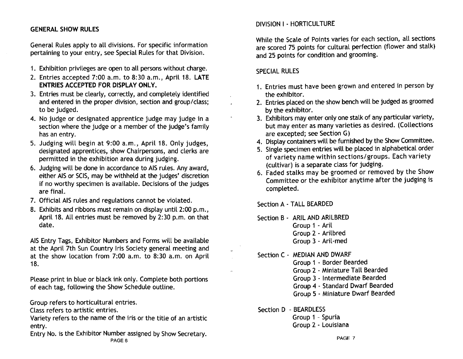# GENERAL SHOW RULES

General Rules apply to all divisions. For specific information pertaining to your entry, see Special Rules for that Division.

- 1. Exhibition privileges are open to all persons without charge.
- 2. Entries accepted 7:00 a.m. to 8:30 a.m., April 18. LATE ENTRIES ACCEPTED FOR DISPLAY ONLY.
- 3. Entries must be clearly, correctly, and completely identified and entered in the proper division, section and group/class; to be judged.
- 4. No judge or designated apprentice judge may judge in a section where the judge or a member of the judge's family has an entry.
- 5. Judging will begin at 9:00 a.m., April 18. Only judges, designated apprentices, show Chairpersons, and clerks are permitted in the exhibition area during judging.
- 6. Judging will be done in accordance to AIS rules. Any award, either AIS or SClS, may be withheld at the judges' discretion if no worthy specimen is available. Decisions of the judges are final.
- 7. Official AIS rules and regulations cannot be violated.
- 8. Exhibits and ribbons must remain on display until 2:00 p.m., April 18. All entries must be removed by 2:30 p.m. on that date.

AIS Entry Tags, Exhibitor Numbers and Forms will be available at the April 7th Sun Country Iris Society general meeting and at the show location from 7:00 a.m. to 8:30 a.m. on April 18.

Please print in blue or black ink only. Complete both portions of each tag, following the Show Schedule outline.

Group refers to horticultural entries.

Class refers to artistic entries.

Variety refers to the name of the iris or the title of an artistic entry.

Entry No. is the Exhibitor Number assigned by Show Secretary. PAGE 6

# DIVISION I - HORTICULTURE

While the Scale of Points varies for each section, all sections are scored 75 points for cultural perfection (flower and stalk) and 25 points for condition and grooming.

### SPECIAL RULES

- 1. Entries must have been grown and entered in person by the exhibitor.
- 2. Entries placed on the show bench will be judged as groomed by the exhibitor.
- 3. Exhibitors may enter only one stalk of any particular variety, but may enter as many varieties as desired. (Collections are excepted; see Section G)
- 4. Display containers will be furnished by the Show Committee.
- 5. Single specimen entries will be placed in alphabetical order of variety name within sections/groups. Each variety (cultivar) is a separate class for judging.
- 6. Faded stalks may be groomed or removed by the Show Committee or the exhibitor anytime after the judging is completed.

Section A - TALL BEARDED

Section B - ARIL AND ARILBRED Group 1 - Aril Group 2 - Arilbred Group 3 - Aril-med

- Section C MEDIAN AND DWARF Group 1 - Border Bearded Group 2 - Miniature Tall Bearded Group 3 - Intermediate Bearded Group 4 - Standard Dwarf Bearded Group 5 - Miniature Dwarf Bearded
- Section D BEARDLESS

Group 1 - Spuria Group 2 - Louisiana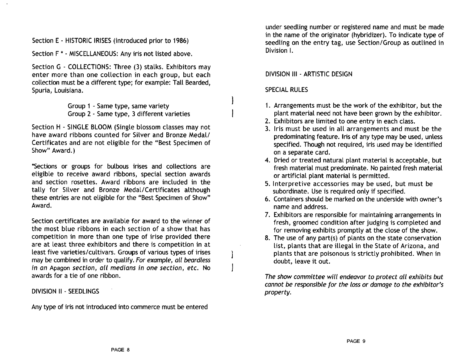Section E . HISTORIC IRISES (introduced prior to 1986)

Section F \* . MISCELLANEOUS: Any iris not listed above.

Section G - COLLECTIONS: Three (3) stalks. Exhibitors may enter more than one collection in each group, but each collection must be a different type; for example: Tall Bearded, Spuria, Louisiana.

> Group 1 . Same type, same variety Group 2 . Same type, 3 different varieties

Section H . SINGLE BLOOM (Single blossom classes may not have award ribbons counted for Silver and Bronze Medal/ Certificates and are not eligible for the "Best Specimen of Show" Award.)

\*Sections or groups for bulbous irises and collections are eligible to receive award ribbons, special section awards and section rosettes. Award ribbons are included in the tally for Silver and Bronze Medal/Certificates although these entries are not eligible for the "Best Specimen of Show" Award.

Section certificates are available for award to the winner of the most blue ribbons in each section of a show that has competition in more than one type of irise provided there are at least three exhibitors and there is competition in at least five varieties/cultivars. Groups of various types of irises may be combined in order to qualify. For example, all beardless in an Apagon section, all medians in one section, etc. No awards for a tie of one ribbon.

DIVISION II . SEEDLINGS

Any type of iris not introduced into commerce must be entered

under seedling number or registered name and must be made in the name of the originator (hybridizer). To indicate type of seedling on the entry tag, use Section/Group as outlined in Division I.

#### DIVISION III . ARTISTIC DESIGN

#### SPECIAL RULES

- 1. Arrangements must be the work of the exhibitor, but the plant material need not have been grown by the exhibitor.
- 2. Exhibitors are limited to one entry in each class.
- 3. Iris must be used in all arrangements and must be the predominating feature. Iris of any type may be used, unless specified. Though not required, iris used may be identified on a separate card.
- 4. Dried or treated natural plant material is acceptable, but fresh material must predominate. No painted fresh material or artificial plant material is permitted.
- 5. Interpretive accessories may be used, but must be subordinate. Use is required only if specified.
- 6. Containers should be marked on the underside with owner's name and address.
- 7. Exhibitors are responsible for maintaining arrangements in fresh, groomed condition after judging is completed and for removing exhibits promptly at the close of the show.
- 8. The use of any part(s) of plants on the state conservation list, plants that are illegal in the State of Arizona, and plants that are poisonous is strictly prohibited. When in doubt, leave it out.

The show committee will endeavor to protect all exhibits but cannot be responsible for the loss or damage to the exhibitor's property.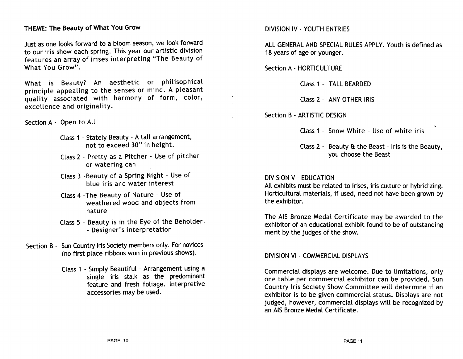### THEME: The Beauty of What You Grow

Just as one looks forward to a bloom season, we look forward to our iris show each spring. This year our artistic division features an array of irises interpreting "The Beauty of What You Grow".

What is Beauty? An aesthetic or philisophical principle appealing to the senses or mind. A pleasant quality associated with harmony of form, color, excellence and originality.

Section A - Open to All

- Class 1 Stately Beauty A tall arrangement, not to exceed 30" in height.
- Class 2 Pretty as a Pitcher Use of pitcher or watering can
- Class 3 -Beauty of a Spring Night Use of blue iris and water interest
- Class 4 -The Beauty of Nature Use of weathered wood and objects from nature
- Class 5 Beauty is in the Eye of the Beholder, - Designer's interpretation
- Section B Sun Country Iris Society members only. For novices (no first place ribbons won in previous shows).
	- Class 1 Simply Beautiful Arrangement using a single iris stalk as the predominant feature and fresh foliage. Interpretive accessories may be used.

#### DIVISION IV - YOUTH ENTRIES

ALL GENERAL AND SPECIAL RULES APPLY. Youth is defined as 18 years of age or younger.

Section A - HORTICULTURE

Class 1 - TALL BEARDED

Class 2 - ANY OTHER IRIS

Section B - ARTISTIC DESIGN

Class 1 - Snow White - Use of white iris

Class  $2 -$  Beauty  $\theta$  the Beast - Iris is the Beauty, you choose the Beast

#### DIVISION V - EDUCATION

All exhibits must be related to irises, iris culture or hybridizing. Horticultural materials, if used, need not have been grown by the exhibitor.

The AIS Bronze Medal Certificate may be awarded to the exhibitor of an educational exhibit found to be of outstanding merit by the judges of the show.

DIVISION VI - COMMERCIAL DISPLAYS

Commercial displays are welcome. Due to limitations, only one table per commercial exhibitor can be provided. Sun Country Iris Society Show Committee will determine if an exhibitor is to be given commercial status. Displays are not judged, however, commercial displays will be recognized by an AIS Bronze Medal Certificate.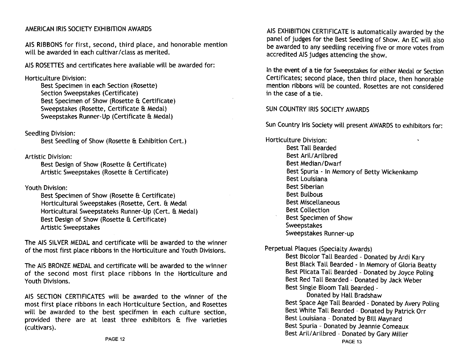# AMERICAN IRIS SOCIETY EXHIBITION AWARDS

AIS RIBBONS for first, second, third place, and honorable mention will be awarded in each cultivar/class as merited.

AIS ROSETTES and certificates here available will be awarded for:

Horticulture Division:

Best Specimen in each Section (Rosette) Section Sweepstakes (Certificate) Best Specimen of Show (Rosette & Certificate) Sweepstakes (Rosette, Certificate & Medal) Sweepstakes Runner-Up (Certificate & Medal)

Seedling Division:

Best Seedling of Show (Rosette & Exhibition Cert.)

Artistic Division:

Best Design of Show (Rosette & Certificate) Artistic Sweepstakes (Rosette & Certificate)

Youth Division:

Best Specimen of Show (Rosette & Certificate) Horticultural Sweepstakes (Rosette, Cert. & Medal Horticultural Sweepstateks Runner-Up (Cert. & Medal) Best Design of Show (Rosette & Certificate) Artistic Sweepstakes

The AIS SILVER MEDAL and certificate will be awarded to the winner of the most first place ribbons in the Horticulture and Youth Divisions.

The AIS BRONZE MEDAL and certificate will be awarded to the winner of the second most first place ribbons in the Horticulture and Youth Divisions.

AIS SECTION CERTIFICATES will be awarded to the winner of the most first place ribbons in each Horticulture Section, and Rosettes will be awarded to the best specifmen in each culture section, provided there are at least three exhibitors & five varieties (cultivars).

AIS EXHIBITION CERTIFICATE is automatically awarded by the panel of judges for the Best Seedling of Show. An EC will also be awarded to any seedling receiving five or more votes from accredited AIS judges attending the show.

In the event of a tie for Sweepstakes for either Medal or Section Certificates; second place, then third place, then honorable mention ribbons will be counted. Rosettes are not considered in the case of a tie.

#### SUN COUNTRY IRIS SOCIETY AWARDS

Sun Country Iris Society will present AWARDS to exhibitors for:

Horticulture Division: Best Tall Bearded Best Aril/Arilbred Best Median/Dwarf Best Spuria - In Memory of Betty Wickenkamp Best Louisiana Best Siberian Best Bulbous Best Miscellaneous Best Collection Best Specimen of Show Sweepstakes Sweepstakes Runner-up

Perpetual Plaques (Specialty Awards)

Best Bicolor Tall Bearded - Donated by Ardi Kary Best Black Tall Bearded - In Memory of Gloria Beatty Best Plicata Tall Bearded - Donated by Joyce Poling Best Red Tall Bearded - Donated by Jack Weber Best Single Bloom Tall Bearded -

Donated by Hall Bradshaw Best Space Age Tall Bearded - Donated by Avery Poling Best White Tall Bearded - Donated by Patrick Orr Best Louisiana - Donated by Bill Maynard Best Spuria - Donated by Jeannie Comeaux Best Aril/Arilbred - Donated by Gary Miller